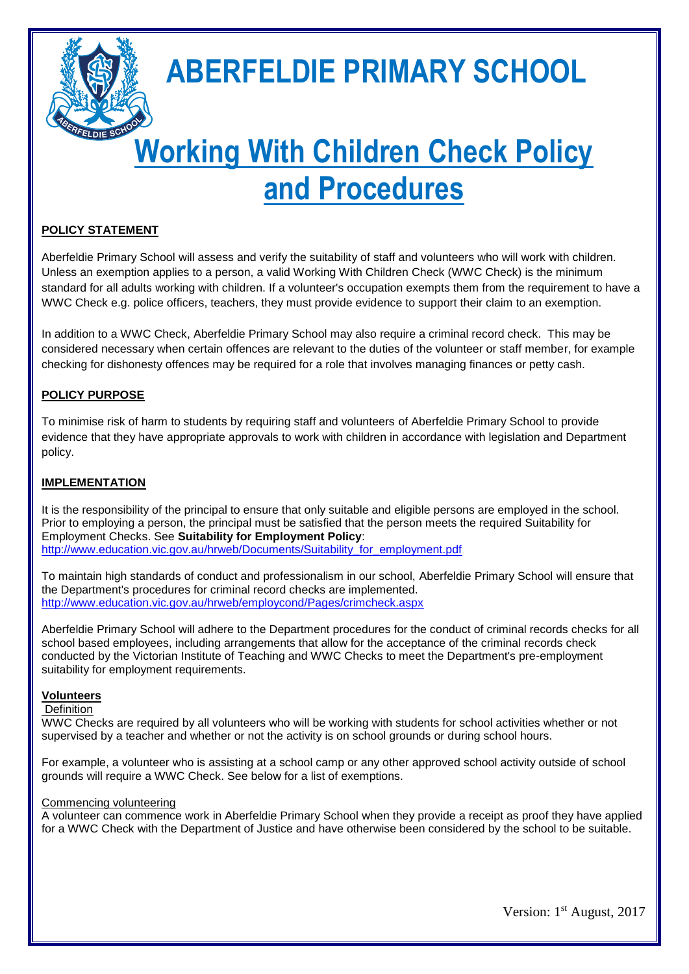

# **ABERFELDIE PRIMARY SCHOOL**

# **Working With Children Check Policy and Procedures**

# **POLICY STATEMENT**

Aberfeldie Primary School will assess and verify the suitability of staff and volunteers who will work with children. Unless an exemption applies to a person, a valid Working With Children Check (WWC Check) is the minimum standard for all adults working with children. If a volunteer's occupation exempts them from the requirement to have a WWC Check e.g. police officers, teachers, they must provide evidence to support their claim to an exemption.

In addition to a WWC Check, Aberfeldie Primary School may also require a criminal record check. This may be considered necessary when certain offences are relevant to the duties of the volunteer or staff member, for example checking for dishonesty offences may be required for a role that involves managing finances or petty cash.

## **POLICY PURPOSE**

To minimise risk of harm to students by requiring staff and volunteers of Aberfeldie Primary School to provide evidence that they have appropriate approvals to work with children in accordance with legislation and Department policy.

## **IMPLEMENTATION**

It is the responsibility of the principal to ensure that only suitable and eligible persons are employed in the school. Prior to employing a person, the principal must be satisfied that the person meets the required Suitability for Employment Checks. See **Suitability for Employment Policy**: [http://www.education.vic.gov.au/hrweb/Documents/Suitability\\_for\\_employment.pdf](http://www.education.vic.gov.au/hrweb/Documents/Suitability_for_employment.pdf)

To maintain high standards of conduct and professionalism in our school, Aberfeldie Primary School will ensure that the Department's procedures for criminal record checks are implemented. <http://www.education.vic.gov.au/hrweb/employcond/Pages/crimcheck.aspx>

Aberfeldie Primary School will adhere to the Department procedures for the conduct of criminal records checks for all school based employees, including arrangements that allow for the acceptance of the criminal records check conducted by the Victorian Institute of Teaching and WWC Checks to meet the Department's pre-employment suitability for employment requirements.

## **Volunteers**

## Definition

WWC Checks are required by all volunteers who will be working with students for school activities whether or not supervised by a teacher and whether or not the activity is on school grounds or during school hours.

For example, a volunteer who is assisting at a school camp or any other approved school activity outside of school grounds will require a WWC Check. See below for a list of exemptions.

## Commencing volunteering

A volunteer can commence work in Aberfeldie Primary School when they provide a receipt as proof they have applied for a WWC Check with the Department of Justice and have otherwise been considered by the school to be suitable.

Version: 1<sup>st</sup> August, 2017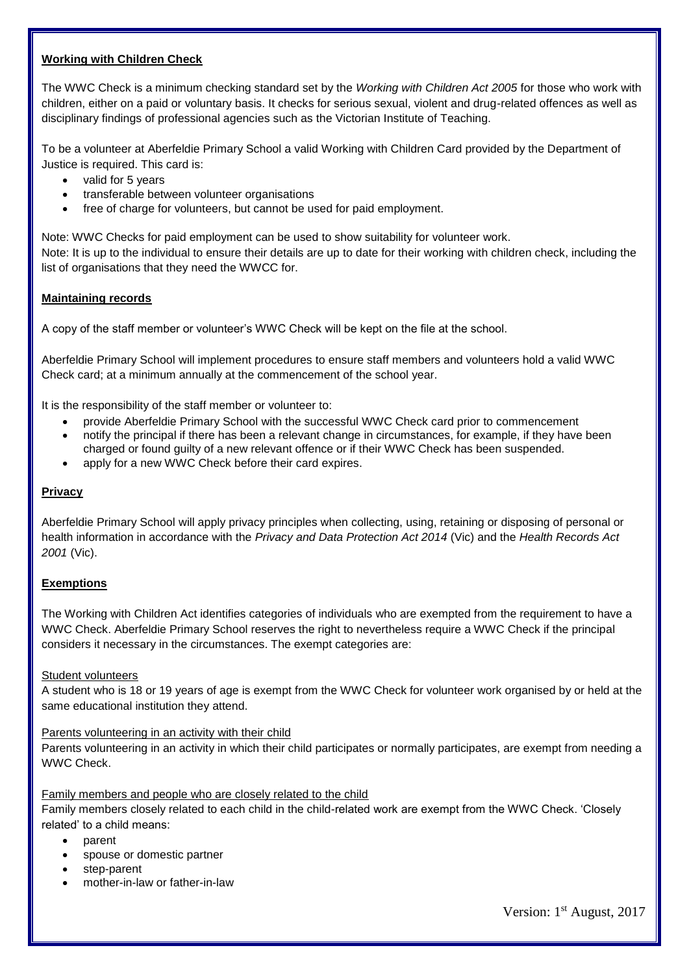## **Working with Children Check**

The WWC Check is a minimum checking standard set by the *Working with Children Act 2005* for those who work with children, either on a paid or voluntary basis. It checks for serious sexual, violent and drug-related offences as well as disciplinary findings of professional agencies such as the Victorian Institute of Teaching.

To be a volunteer at Aberfeldie Primary School a valid Working with Children Card provided by the Department of Justice is required. This card is:

- valid for 5 years
- transferable between volunteer organisations
- free of charge for volunteers, but cannot be used for paid employment.

Note: WWC Checks for paid employment can be used to show suitability for volunteer work.

Note: It is up to the individual to ensure their details are up to date for their working with children check, including the list of organisations that they need the WWCC for.

## **Maintaining records**

A copy of the staff member or volunteer's WWC Check will be kept on the file at the school.

Aberfeldie Primary School will implement procedures to ensure staff members and volunteers hold a valid WWC Check card; at a minimum annually at the commencement of the school year.

It is the responsibility of the staff member or volunteer to:

- provide Aberfeldie Primary School with the successful WWC Check card prior to commencement
- notify the principal if there has been a relevant change in circumstances, for example, if they have been charged or found guilty of a new relevant offence or if their WWC Check has been suspended.
- apply for a new WWC Check before their card expires.

## **Privacy**

Aberfeldie Primary School will apply privacy principles when collecting, using, retaining or disposing of personal or health information in accordance with the *Privacy and Data Protection Act 2014* (Vic) and the *Health Records Act 2001* (Vic).

## **Exemptions**

The Working with Children Act identifies categories of individuals who are exempted from the requirement to have a WWC Check. Aberfeldie Primary School reserves the right to nevertheless require a WWC Check if the principal considers it necessary in the circumstances. The exempt categories are:

## Student volunteers

A student who is 18 or 19 years of age is exempt from the WWC Check for volunteer work organised by or held at the same educational institution they attend.

## Parents volunteering in an activity with their child

Parents volunteering in an activity in which their child participates or normally participates, are exempt from needing a WWC Check.

Family members and people who are closely related to the child

Family members closely related to each child in the child-related work are exempt from the WWC Check. 'Closely related' to a child means:

- parent
- spouse or domestic partner
- step-parent
- mother-in-law or father-in-law

Version: 1<sup>st</sup> August, 2017